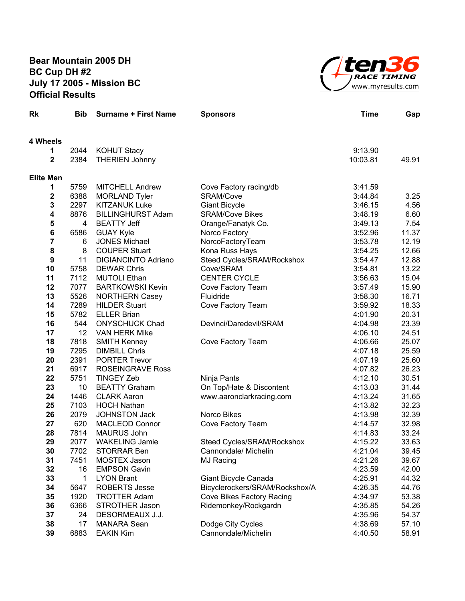## **Bear Mountain 2005 DH BC Cup DH #2 July 17 2005 - Mission BC Official Results**



| Rk                      | <b>Bib</b>   | <b>Surname + First Name</b>                  | <b>Sponsors</b>                                      | <b>Time</b>        | Gap            |
|-------------------------|--------------|----------------------------------------------|------------------------------------------------------|--------------------|----------------|
| 4 Wheels                |              |                                              |                                                      |                    |                |
| 1                       | 2044         | <b>KOHUT Stacy</b>                           |                                                      | 9:13.90            |                |
| $\mathbf 2$             | 2384         | <b>THERIEN Johnny</b>                        |                                                      | 10:03.81           | 49.91          |
| <b>Elite Men</b>        |              |                                              |                                                      |                    |                |
| 1                       | 5759         | <b>MITCHELL Andrew</b>                       | Cove Factory racing/db                               | 3:41.59            |                |
| $\boldsymbol{2}$        | 6388         | <b>MORLAND Tyler</b>                         | SRAM/Cove                                            | 3:44.84            | 3.25           |
| $\mathbf 3$             | 2297         | <b>KITZANUK Luke</b>                         | <b>Giant Bicycle</b>                                 | 3:46.15            | 4.56           |
| $\overline{\mathbf{4}}$ | 8876         | <b>BILLINGHURST Adam</b>                     | <b>SRAM/Cove Bikes</b>                               | 3:48.19            | 6.60           |
| 5                       | 4            | <b>BEATTY Jeff</b>                           | Orange/Fanatyk Co.                                   | 3:49.13            | 7.54           |
| $\bf 6$                 | 6586         | <b>GUAY Kyle</b>                             | Norco Factory                                        | 3:52.96            | 11.37          |
| $\overline{7}$          | 6            | <b>JONES Michael</b>                         | NorcoFactoryTeam                                     | 3:53.78            | 12.19          |
| $\pmb{8}$               | 8            | <b>COUPER Stuart</b>                         | Kona Russ Hays                                       | 3:54.25            | 12.66          |
| $\boldsymbol{9}$        | 11           | <b>DIGIANCINTO Adriano</b>                   | Steed Cycles/SRAM/Rockshox                           | 3:54.47            | 12.88          |
| 10                      | 5758         | <b>DEWAR Chris</b>                           | Cove/SRAM                                            | 3:54.81            | 13.22          |
| 11                      | 7112         | <b>MUTOLI Ethan</b>                          | <b>CENTER CYCLE</b>                                  | 3:56.63            | 15.04          |
| 12                      | 7077         | <b>BARTKOWSKI Kevin</b>                      | Cove Factory Team                                    | 3:57.49            | 15.90          |
| 13                      | 5526         | <b>NORTHERN Casey</b>                        | Fluidride                                            | 3:58.30            | 16.71          |
| 14                      | 7289         | <b>HILDER Stuart</b>                         | Cove Factory Team                                    | 3:59.92            | 18.33          |
| 15                      | 5782         | <b>ELLER Brian</b>                           |                                                      | 4:01.90            | 20.31          |
| 16                      | 544          | <b>ONYSCHUCK Chad</b>                        | Devinci/Daredevil/SRAM                               | 4:04.98            | 23.39          |
| 17                      | 12           | <b>VAN HERK Mike</b>                         |                                                      | 4:06.10            | 24.51          |
| 18                      | 7818         | <b>SMITH Kenney</b>                          | Cove Factory Team                                    | 4:06.66            | 25.07          |
| 19                      | 7295         | <b>DIMBILL Chris</b>                         |                                                      | 4:07.18            | 25.59          |
| 20                      | 2391         | <b>PORTER Trevor</b>                         |                                                      | 4:07.19            | 25.60          |
| 21<br>22                | 6917<br>5751 | <b>ROSEINGRAVE Ross</b><br><b>TINGEY Zeb</b> |                                                      | 4:07.82            | 26.23          |
| 23                      | 10           | <b>BEATTY Graham</b>                         | Ninja Pants                                          | 4:12.10<br>4:13.03 | 30.51<br>31.44 |
| 24                      | 1446         | <b>CLARK Aaron</b>                           | On Top/Hate & Discontent<br>www.aaronclarkracing.com | 4:13.24            | 31.65          |
| 25                      | 7103         | <b>HOCH Nathan</b>                           |                                                      | 4:13.82            | 32.23          |
| 26                      | 2079         | <b>JOHNSTON Jack</b>                         | Norco Bikes                                          | 4:13.98            | 32.39          |
| 27                      | 620          | <b>MACLEOD Connor</b>                        | Cove Factory Team                                    | 4:14.57            | 32.98          |
| 28                      | 7814         | <b>MAURUS John</b>                           |                                                      | 4:14.83            | 33.24          |
| 29                      | 2077         | <b>WAKELING Jamie</b>                        | Steed Cycles/SRAM/Rockshox                           | 4:15.22            | 33.63          |
| 30                      | 7702         | <b>STORRAR Ben</b>                           | Cannondale/ Michelin                                 | 4:21.04            | 39.45          |
| 31                      | 7451         | MOSTEX Jason                                 | MJ Racing                                            | 4:21.26            | 39.67          |
| 32                      | 16           | <b>EMPSON Gavin</b>                          |                                                      | 4:23.59            | 42.00          |
| 33                      | 1            | <b>LYON Brant</b>                            | Giant Bicycle Canada                                 | 4:25.91            | 44.32          |
| 34                      | 5647         | <b>ROBERTS Jesse</b>                         | Bicyclerockers/SRAM/Rockshox/A                       | 4:26.35            | 44.76          |
| 35                      | 1920         | <b>TROTTER Adam</b>                          | Cove Bikes Factory Racing                            | 4:34.97            | 53.38          |
| 36                      | 6366         | <b>STROTHER Jason</b>                        | Ridemonkey/Rockgardn                                 | 4:35.85            | 54.26          |
| 37                      | 24           | DESORMEAUX J.J.                              |                                                      | 4:35.96            | 54.37          |
| 38                      | 17           | <b>MANARA Sean</b>                           | Dodge City Cycles                                    | 4:38.69            | 57.10          |
| 39                      | 6883         | <b>EAKIN Kim</b>                             | Cannondale/Michelin                                  | 4:40.50            | 58.91          |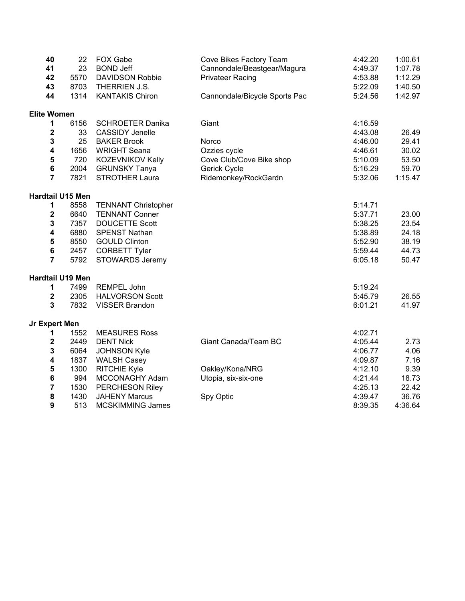| 40                      | 22   | FOX Gabe                   | Cove Bikes Factory Team       | 4:42.20 | 1:00.61 |
|-------------------------|------|----------------------------|-------------------------------|---------|---------|
| 41                      | 23   | <b>BOND Jeff</b>           | Cannondale/Beastgear/Magura   | 4:49.37 | 1:07.78 |
| 42                      | 5570 | <b>DAVIDSON Robbie</b>     | <b>Privateer Racing</b>       | 4:53.88 | 1:12.29 |
| 43                      | 8703 | THERRIEN J.S.              |                               | 5:22.09 | 1:40.50 |
| 44                      | 1314 | <b>KANTAKIS Chiron</b>     | Cannondale/Bicycle Sports Pac | 5:24.56 | 1:42.97 |
| <b>Elite Women</b>      |      |                            |                               |         |         |
| 1                       | 6156 | <b>SCHROETER Danika</b>    | Giant                         | 4:16.59 |         |
| $\mathbf 2$             | 33   | <b>CASSIDY Jenelle</b>     |                               | 4:43.08 | 26.49   |
| 3                       | 25   | <b>BAKER Brook</b>         | Norco                         | 4:46.00 | 29.41   |
| 4                       | 1656 | <b>WRIGHT Seana</b>        | Ozzies cycle                  | 4:46.61 | 30.02   |
| 5                       | 720  | KOZEVNIKOV Kelly           | Cove Club/Cove Bike shop      | 5:10.09 | 53.50   |
| 6                       | 2004 | <b>GRUNSKY Tanya</b>       | Gerick Cycle                  | 5:16.29 | 59.70   |
| $\overline{7}$          | 7821 | <b>STROTHER Laura</b>      | Ridemonkey/RockGardn          | 5:32.06 | 1:15.47 |
| Hardtail U15 Men        |      |                            |                               |         |         |
| 1                       | 8558 | <b>TENNANT Christopher</b> |                               | 5:14.71 |         |
| $\mathbf 2$             | 6640 | <b>TENNANT Conner</b>      |                               | 5:37.71 | 23.00   |
| 3                       | 7357 | <b>DOUCETTE Scott</b>      |                               | 5:38.25 | 23.54   |
| 4                       | 6880 | <b>SPENST Nathan</b>       |                               | 5:38.89 | 24.18   |
| 5                       | 8550 | <b>GOULD Clinton</b>       |                               | 5:52.90 | 38.19   |
| 6                       | 2457 | <b>CORBETT Tyler</b>       |                               | 5:59.44 | 44.73   |
| $\overline{7}$          | 5792 | <b>STOWARDS Jeremy</b>     |                               | 6:05.18 | 50.47   |
| <b>Hardtail U19 Men</b> |      |                            |                               |         |         |
| 1                       | 7499 | REMPEL John                |                               | 5:19.24 |         |
| $\overline{\mathbf{2}}$ | 2305 | <b>HALVORSON Scott</b>     |                               | 5:45.79 | 26.55   |
| 3                       | 7832 | <b>VISSER Brandon</b>      |                               | 6:01.21 | 41.97   |
| <b>Jr Expert Men</b>    |      |                            |                               |         |         |
| 1                       | 1552 | <b>MEASURES Ross</b>       |                               | 4:02.71 |         |
| 2                       | 2449 | <b>DENT Nick</b>           | Giant Canada/Team BC          | 4:05.44 | 2.73    |
| 3                       | 6064 | <b>JOHNSON Kyle</b>        |                               | 4:06.77 | 4.06    |
| 4                       | 1837 | <b>WALSH Casey</b>         |                               | 4:09.87 | 7.16    |
| 5                       | 1300 | RITCHIE Kyle               | Oakley/Kona/NRG               | 4:12.10 | 9.39    |
| 6                       | 994  | MCCONAGHY Adam             | Utopia, six-six-one           | 4:21.44 | 18.73   |
| 7                       | 1530 | PERCHESON Riley            |                               | 4:25.13 | 22.42   |
| 8                       | 1430 | <b>JAHENY Marcus</b>       | Spy Optic                     | 4:39.47 | 36.76   |
| 9                       | 513  | <b>MCSKIMMING James</b>    |                               | 8:39.35 | 4:36.64 |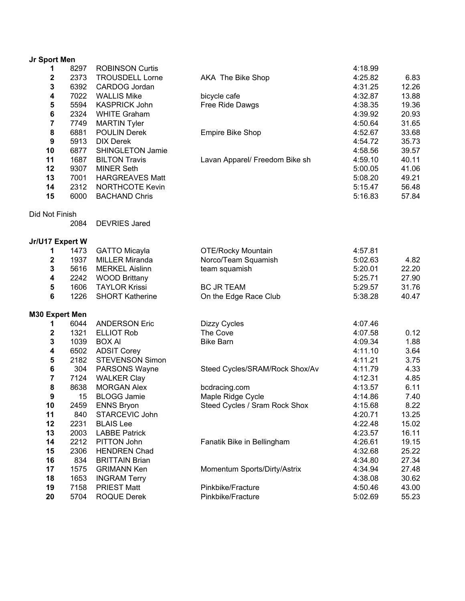| Jr Sport Men     |              |                                              |                                |                    |                |
|------------------|--------------|----------------------------------------------|--------------------------------|--------------------|----------------|
| 1                | 8297         | <b>ROBINSON Curtis</b>                       |                                | 4:18.99            |                |
| 2                | 2373         | <b>TROUSDELL Lorne</b>                       | AKA The Bike Shop              | 4:25.82            | 6.83           |
| 3                | 6392         | CARDOG Jordan                                |                                | 4:31.25            | 12.26          |
| 4                | 7022         | <b>WALLIS Mike</b>                           | bicycle cafe                   | 4:32.87            | 13.88          |
| 5                | 5594         | <b>KASPRICK John</b>                         | Free Ride Dawgs                | 4:38.35            | 19.36          |
| 6                | 2324         | <b>WHITE Graham</b>                          |                                | 4:39.92            | 20.93          |
| $\overline{7}$   | 7749         | <b>MARTIN Tyler</b>                          |                                | 4:50.64            | 31.65          |
| 8                | 6881         | <b>POULIN Derek</b>                          | <b>Empire Bike Shop</b>        | 4:52.67            | 33.68          |
| $\boldsymbol{9}$ | 5913         | <b>DIX Derek</b>                             |                                | 4:54.72            | 35.73          |
| 10               | 6877         | <b>SHINGLETON Jamie</b>                      |                                | 4:58.56            | 39.57          |
| 11               | 1687         | <b>BILTON Travis</b>                         | Lavan Apparel/ Freedom Bike sh | 4:59.10            | 40.11          |
| 12               | 9307         | <b>MINER Seth</b>                            |                                | 5:00.05            | 41.06          |
| 13               | 7001         | <b>HARGREAVES Matt</b>                       |                                | 5:08.20            | 49.21          |
| 14               | 2312         | <b>NORTHCOTE Kevin</b>                       |                                | 5:15.47            | 56.48          |
| 15               | 6000         | <b>BACHAND Chris</b>                         |                                | 5:16.83            | 57.84          |
| Did Not Finish   |              |                                              |                                |                    |                |
|                  | 2084         | <b>DEVRIES Jared</b>                         |                                |                    |                |
| Jr/U17 Expert W  |              |                                              |                                |                    |                |
| 1                | 1473         | <b>GATTO Micayla</b>                         | <b>OTE/Rocky Mountain</b>      | 4:57.81            |                |
| $\boldsymbol{2}$ | 1937         | <b>MILLER Miranda</b>                        | Norco/Team Squamish            | 5:02.63            | 4.82           |
| $\mathbf 3$      | 5616         | <b>MERKEL Aislinn</b>                        | team squamish                  | 5:20.01            | 22.20          |
| 4                | 2242         | <b>WOOD Brittany</b>                         |                                | 5:25.71            | 27.90          |
| 5                | 1606         | <b>TAYLOR Krissi</b>                         | <b>BC JR TEAM</b>              | 5:29.57            | 31.76          |
| 6                | 1226         | <b>SHORT Katherine</b>                       | On the Edge Race Club          | 5:38.28            | 40.47          |
| M30 Expert Men   |              |                                              |                                |                    |                |
| 1                | 6044         | <b>ANDERSON Eric</b>                         | Dizzy Cycles                   | 4:07.46            |                |
| $\boldsymbol{2}$ | 1321         | <b>ELLIOT Rob</b>                            | The Cove                       | 4:07.58            | 0.12           |
| 3                | 1039         | <b>BOX AI</b>                                | <b>Bike Barn</b>               | 4:09.34            | 1.88           |
| 4                | 6502         | <b>ADSIT Corey</b>                           |                                | 4:11.10            | 3.64           |
| 5                | 2182         | <b>STEVENSON Simon</b>                       |                                | 4:11.21            | 3.75           |
| 6                | 304          | PARSONS Wayne                                | Steed Cycles/SRAM/Rock Shox/Av | 4:11.79            | 4.33           |
| $\overline{7}$   | 7124         | <b>WALKER Clay</b>                           |                                | 4:12.31            | 4.85           |
| 8                | 8638         | <b>MORGAN Alex</b>                           | bcdracing.com                  | 4:13.57            | 6.11           |
| 9                | 15           | <b>BLOGG Jamie</b>                           | Maple Ridge Cycle              | 4:14.86            | 7.40           |
| 10               | 2459         | <b>ENNS Bryon</b>                            | Steed Cycles / Sram Rock Shox  | 4:15.68            | 8.22           |
| 11               | 840          | STARCEVIC John                               |                                | 4:20.71            | 13.25          |
| 12               | 2231         | <b>BLAIS Lee</b>                             |                                | 4:22.48            | 15.02          |
| 13               | 2003<br>2212 | <b>LABBE Patrick</b>                         |                                | 4:23.57            | 16.11          |
| 14               |              | PITTON John                                  | Fanatik Bike in Bellingham     | 4:26.61            | 19.15          |
| 15               | 2306         | <b>HENDREN Chad</b><br><b>BRITTAIN Brian</b> |                                | 4:32.68            | 25.22          |
| 16               | 834<br>1575  | <b>GRIMANN Ken</b>                           |                                | 4:34.80<br>4:34.94 | 27.34<br>27.48 |
| 17               | 1653         |                                              | Momentum Sports/Dirty/Astrix   | 4:38.08            | 30.62          |
| 18<br>19         | 7158         | <b>INGRAM Terry</b><br><b>PRIEST Matt</b>    | Pinkbike/Fracture              | 4:50.46            | 43.00          |
| 20               | 5704         | <b>ROQUE Derek</b>                           | Pinkbike/Fracture              | 5:02.69            | 55.23          |
|                  |              |                                              |                                |                    |                |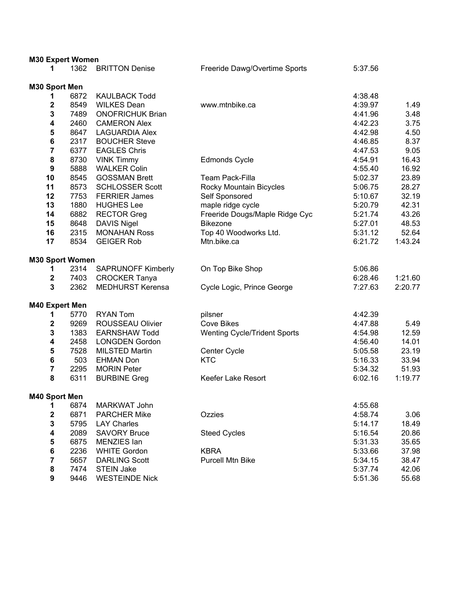| <b>M30 Expert Women</b> |              |                                               |                                     |                    |              |
|-------------------------|--------------|-----------------------------------------------|-------------------------------------|--------------------|--------------|
| 1                       | 1362         | <b>BRITTON Denise</b>                         | Freeride Dawg/Overtime Sports       | 5:37.56            |              |
|                         |              |                                               |                                     |                    |              |
| M30 Sport Men           |              |                                               |                                     |                    |              |
| 1<br>$\mathbf 2$        | 6872         | <b>KAULBACK Todd</b>                          |                                     | 4:38.48            |              |
| 3                       | 8549<br>7489 | <b>WILKES Dean</b><br><b>ONOFRICHUK Brian</b> | www.mtnbike.ca                      | 4:39.97<br>4:41.96 | 1.49<br>3.48 |
| 4                       | 2460         | <b>CAMERON Alex</b>                           |                                     | 4:42.23            | 3.75         |
| ${\bf 5}$               | 8647         | <b>LAGUARDIA Alex</b>                         |                                     | 4:42.98            | 4.50         |
| $\bf 6$                 | 2317         | <b>BOUCHER Steve</b>                          |                                     | 4:46.85            | 8.37         |
| $\overline{\mathbf{7}}$ | 6377         | <b>EAGLES Chris</b>                           |                                     | 4:47.53            | 9.05         |
| ${\bf 8}$               | 8730         | <b>VINK Timmy</b>                             | <b>Edmonds Cycle</b>                | 4:54.91            | 16.43        |
| $\boldsymbol{9}$        | 5888         | <b>WALKER Colin</b>                           |                                     | 4:55.40            | 16.92        |
| 10                      | 8545         | <b>GOSSMAN Brett</b>                          | <b>Team Pack-Filla</b>              | 5:02.37            | 23.89        |
| 11                      | 8573         | <b>SCHLOSSER Scott</b>                        | Rocky Mountain Bicycles             | 5:06.75            | 28.27        |
| 12                      | 7753         | <b>FERRIER James</b>                          | Self Sponsored                      | 5:10.67            | 32.19        |
| 13                      | 1880         | <b>HUGHES Lee</b>                             | maple ridge cycle                   | 5:20.79            | 42.31        |
| 14                      | 6882         | <b>RECTOR Greg</b>                            | Freeride Dougs/Maple Ridge Cyc      | 5:21.74            | 43.26        |
| 15                      | 8648         | <b>DAVIS Nigel</b>                            | <b>Bikezone</b>                     | 5:27.01            | 48.53        |
| 16                      | 2315         | <b>MONAHAN Ross</b>                           | Top 40 Woodworks Ltd.               | 5:31.12            | 52.64        |
| 17                      | 8534         | <b>GEIGER Rob</b>                             | Mtn.bike.ca                         | 6:21.72            | 1:43.24      |
|                         |              |                                               |                                     |                    |              |
| <b>M30 Sport Women</b>  |              |                                               |                                     |                    |              |
| 1                       | 2314         | <b>SAPRUNOFF Kimberly</b>                     | On Top Bike Shop                    | 5:06.86            |              |
| $\mathbf 2$             | 7403         | <b>CROCKER Tanya</b>                          |                                     | 6:28.46            | 1:21.60      |
| 3                       | 2362         | <b>MEDHURST Kerensa</b>                       | Cycle Logic, Prince George          | 7:27.63            | 2:20.77      |
|                         |              |                                               |                                     |                    |              |
| M40 Expert Men          |              |                                               |                                     |                    |              |
| 1                       | 5770         | <b>RYAN Tom</b>                               | pilsner                             | 4:42.39            |              |
| $\boldsymbol{2}$        | 9269         | ROUSSEAU Olivier                              | <b>Cove Bikes</b>                   | 4:47.88            | 5.49         |
| 3                       | 1383         | <b>EARNSHAW Todd</b>                          | <b>Wenting Cycle/Trident Sports</b> | 4:54.98            | 12.59        |
| 4                       | 2458         | <b>LONGDEN Gordon</b>                         |                                     | 4:56.40            | 14.01        |
| 5                       | 7528         | <b>MILSTED Martin</b>                         | Center Cycle                        | 5:05.58            | 23.19        |
| 6                       | 503          | <b>EHMAN Don</b>                              | <b>KTC</b>                          | 5:16.33            | 33.94        |
| $\overline{\mathbf{7}}$ | 2295         | <b>MORIN Peter</b>                            |                                     | 5:34.32            | 51.93        |
| 8                       | 6311         | <b>BURBINE Greg</b>                           | Keefer Lake Resort                  | 6:02.16            | 1:19.77      |
| M40 Sport Men           |              |                                               |                                     |                    |              |
| 1                       | 6874         | <b>MARKWAT John</b>                           |                                     | 4:55.68            |              |
| $\mathbf 2$             | 6871         | <b>PARCHER Mike</b>                           | Ozzies                              | 4:58.74            | 3.06         |
| 3                       | 5795         | <b>LAY Charles</b>                            |                                     | 5:14.17            | 18.49        |
| 4                       | 2089         | <b>SAVORY Bruce</b>                           | <b>Steed Cycles</b>                 | 5:16.54            | 20.86        |
| ${\bf 5}$               | 6875         | MENZIES Ian                                   |                                     | 5:31.33            | 35.65        |
| $\bf 6$                 | 2236         | <b>WHITE Gordon</b>                           | <b>KBRA</b>                         | 5:33.66            | 37.98        |
| $\overline{\mathbf{7}}$ | 5657         | <b>DARLING Scott</b>                          | <b>Purcell Mtn Bike</b>             | 5:34.15            | 38.47        |
| ${\bf 8}$               | 7474         | <b>STEIN Jake</b>                             |                                     | 5:37.74            | 42.06        |
| 9                       | 9446         | <b>WESTEINDE Nick</b>                         |                                     | 5:51.36            | 55.68        |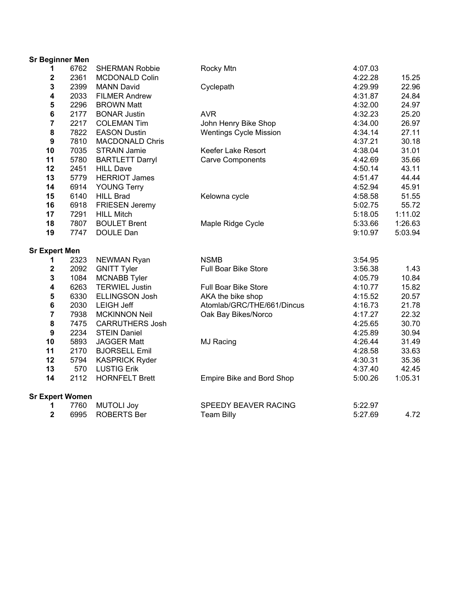| <b>Sr Beginner Men</b>  |      |                        |                             |         |         |
|-------------------------|------|------------------------|-----------------------------|---------|---------|
| 1                       | 6762 | <b>SHERMAN Robbie</b>  | Rocky Mtn                   | 4:07.03 |         |
| 2                       | 2361 | <b>MCDONALD Colin</b>  |                             | 4:22.28 | 15.25   |
| 3                       | 2399 | <b>MANN David</b>      | Cyclepath                   | 4:29.99 | 22.96   |
| 4                       | 2033 | <b>FILMER Andrew</b>   |                             | 4:31.87 | 24.84   |
| ${\bf 5}$               | 2296 | <b>BROWN Matt</b>      |                             | 4:32.00 | 24.97   |
| $\bf 6$                 | 2177 | <b>BONAR Justin</b>    | <b>AVR</b>                  | 4:32.23 | 25.20   |
| $\overline{7}$          | 2217 | <b>COLEMAN Tim</b>     | John Henry Bike Shop        | 4:34.00 | 26.97   |
| 8                       | 7822 | <b>EASON Dustin</b>    | Wentings Cycle Mission      | 4:34.14 | 27.11   |
| $\boldsymbol{9}$        | 7810 | <b>MACDONALD Chris</b> |                             | 4:37.21 | 30.18   |
| 10                      | 7035 | <b>STRAIN Jamie</b>    | Keefer Lake Resort          | 4:38.04 | 31.01   |
| 11                      | 5780 | <b>BARTLETT Darryl</b> | <b>Carve Components</b>     | 4:42.69 | 35.66   |
| 12                      | 2451 | <b>HILL Dave</b>       |                             | 4:50.14 | 43.11   |
| 13                      | 5779 | <b>HERRIOT James</b>   |                             | 4:51.47 | 44.44   |
| 14                      | 6914 | <b>YOUNG Terry</b>     |                             | 4:52.94 | 45.91   |
| 15                      | 6140 | <b>HILL Brad</b>       | Kelowna cycle               | 4:58.58 | 51.55   |
| 16                      | 6918 | <b>FRIESEN Jeremy</b>  |                             | 5:02.75 | 55.72   |
| 17                      | 7291 | <b>HILL Mitch</b>      |                             | 5:18.05 | 1:11.02 |
| 18                      | 7807 | <b>BOULET Brent</b>    | Maple Ridge Cycle           | 5:33.66 | 1:26.63 |
| 19                      | 7747 | DOULE Dan              |                             | 9:10.97 | 5:03.94 |
| <b>Sr Expert Men</b>    |      |                        |                             |         |         |
| 1                       | 2323 | NEWMAN Ryan            | <b>NSMB</b>                 | 3:54.95 |         |
| $\mathbf 2$             | 2092 | <b>GNITT Tyler</b>     | <b>Full Boar Bike Store</b> | 3:56.38 | 1.43    |
| 3                       | 1084 | <b>MCNABB Tyler</b>    |                             | 4:05.79 | 10.84   |
| $\overline{\mathbf{4}}$ | 6263 | <b>TERWIEL Justin</b>  | Full Boar Bike Store        | 4:10.77 | 15.82   |
| 5                       | 6330 | <b>ELLINGSON Josh</b>  | AKA the bike shop           | 4:15.52 | 20.57   |
| $\bf 6$                 | 2030 | <b>LEIGH Jeff</b>      | Atomlab/GRC/THE/661/Dincus  | 4:16.73 | 21.78   |
| $\overline{7}$          | 7938 | <b>MCKINNON Neil</b>   | Oak Bay Bikes/Norco         | 4:17.27 | 22.32   |
| 8                       | 7475 | <b>CARRUTHERS Josh</b> |                             | 4:25.65 | 30.70   |
| $\boldsymbol{9}$        | 2234 | <b>STEIN Daniel</b>    |                             | 4:25.89 | 30.94   |
| 10                      | 5893 | <b>JAGGER Matt</b>     | MJ Racing                   | 4:26.44 | 31.49   |
| 11                      | 2170 | <b>BJORSELL Emil</b>   |                             | 4:28.58 | 33.63   |
| 12                      | 5794 | <b>KASPRICK Ryder</b>  |                             | 4:30.31 | 35.36   |
| 13                      | 570  | <b>LUSTIG Erik</b>     |                             | 4:37.40 | 42.45   |
| 14                      | 2112 | <b>HORNFELT Brett</b>  | Empire Bike and Bord Shop   | 5:00.26 | 1:05.31 |
| <b>Sr Expert Women</b>  |      |                        |                             |         |         |
| 1                       | 7760 | <b>MUTOLI Joy</b>      | SPEEDY BEAVER RACING        | 5:22.97 |         |
| $\overline{\mathbf{2}}$ | 6995 | <b>ROBERTS Ber</b>     | <b>Team Billy</b>           | 5:27.69 | 4.72    |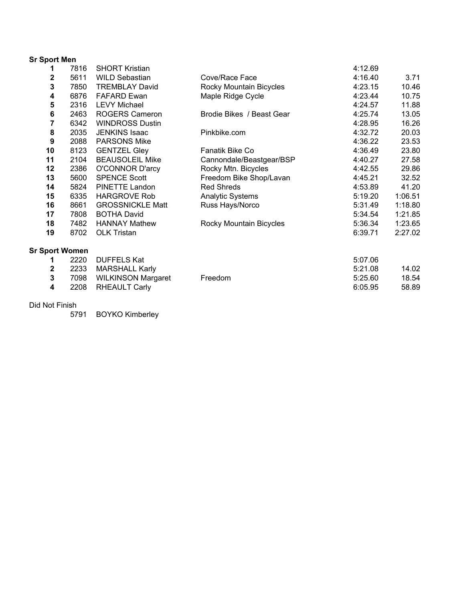|  |  |  | <b>Sr Sport Men</b> |
|--|--|--|---------------------|
|--|--|--|---------------------|

| 1                     | 7816 | <b>SHORT Kristian</b>     |                           | 4:12.69 |         |
|-----------------------|------|---------------------------|---------------------------|---------|---------|
| 2                     | 5611 | <b>WILD Sebastian</b>     | Cove/Race Face            | 4:16.40 | 3.71    |
| 3                     | 7850 | <b>TREMBLAY David</b>     | Rocky Mountain Bicycles   | 4:23.15 | 10.46   |
| 4                     | 6876 | <b>FAFARD Ewan</b>        | Maple Ridge Cycle         | 4:23.44 | 10.75   |
| 5                     | 2316 | <b>LEVY Michael</b>       |                           | 4:24.57 | 11.88   |
| 6                     | 2463 | <b>ROGERS Cameron</b>     | Brodie Bikes / Beast Gear | 4:25.74 | 13.05   |
| 7                     | 6342 | <b>WINDROSS Dustin</b>    |                           | 4:28.95 | 16.26   |
| 8                     | 2035 | <b>JENKINS Isaac</b>      | Pinkbike.com              | 4:32.72 | 20.03   |
| 9                     | 2088 | <b>PARSONS Mike</b>       |                           | 4:36.22 | 23.53   |
| 10                    | 8123 | <b>GENTZEL Gley</b>       | Fanatik Bike Co           | 4:36.49 | 23.80   |
| 11                    | 2104 | <b>BEAUSOLEIL Mike</b>    | Cannondale/Beastgear/BSP  | 4:40.27 | 27.58   |
| 12                    | 2386 | <b>O'CONNOR D'arcy</b>    | Rocky Mtn. Bicycles       | 4:42.55 | 29.86   |
| 13                    | 5600 | <b>SPENCE Scott</b>       | Freedom Bike Shop/Lavan   | 4:45.21 | 32.52   |
| 14                    | 5824 | PINETTE Landon            | <b>Red Shreds</b>         | 4:53.89 | 41.20   |
| 15                    | 6335 | <b>HARGROVE Rob</b>       | <b>Analytic Systems</b>   | 5:19.20 | 1:06.51 |
| 16                    | 8661 | <b>GROSSNICKLE Matt</b>   | Russ Hays/Norco           | 5:31.49 | 1:18.80 |
| 17                    | 7808 | <b>BOTHA David</b>        |                           | 5:34.54 | 1:21.85 |
| 18                    | 7482 | <b>HANNAY Mathew</b>      | Rocky Mountain Bicycles   | 5:36.34 | 1:23.65 |
| 19                    | 8702 | <b>OLK Tristan</b>        |                           | 6:39.71 | 2:27.02 |
| <b>Sr Sport Women</b> |      |                           |                           |         |         |
| 1                     | 2220 | <b>DUFFELS Kat</b>        |                           | 5:07.06 |         |
| 2                     | 2233 | <b>MARSHALL Karly</b>     |                           | 5:21.08 | 14.02   |
| 3                     | 7098 | <b>WILKINSON Margaret</b> | Freedom                   | 5:25.60 | 18.54   |
| 4                     | 2208 | <b>RHEAULT Carly</b>      |                           | 6:05.95 | 58.89   |

Did Not Finish

BOYKO Kimberley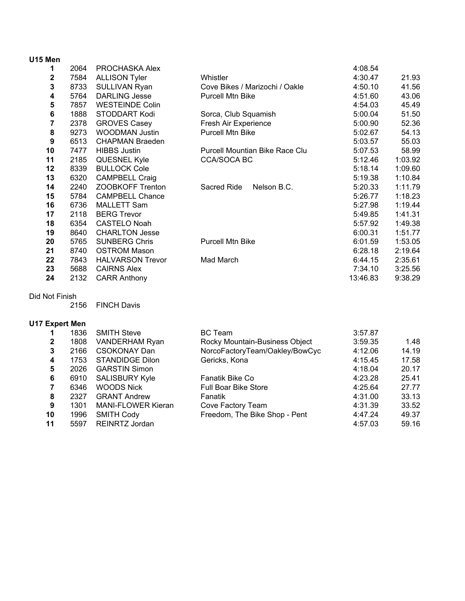| U15 Men |      |                         |                                       |          |         |
|---------|------|-------------------------|---------------------------------------|----------|---------|
| 1       | 2064 | PROCHASKA Alex          |                                       | 4:08.54  |         |
| 2       | 7584 | <b>ALLISON Tyler</b>    | Whistler                              | 4:30.47  | 21.93   |
| 3       | 8733 | SULLIVAN Ryan           | Cove Bikes / Marizochi / Oakle        | 4:50.10  | 41.56   |
| 4       | 5764 | <b>DARLING Jesse</b>    | <b>Purcell Mtn Bike</b>               | 4:51.60  | 43.06   |
| 5       | 7857 | <b>WESTEINDE Colin</b>  |                                       | 4:54.03  | 45.49   |
| 6       | 1888 | STODDART Kodi           | Sorca, Club Squamish                  | 5:00.04  | 51.50   |
| 7       | 2378 | <b>GROVES Casey</b>     | Fresh Air Experience                  | 5:00.90  | 52.36   |
| 8       | 9273 | <b>WOODMAN Justin</b>   | <b>Purcell Mtn Bike</b>               | 5:02.67  | 54.13   |
| 9       | 6513 | <b>CHAPMAN Braeden</b>  |                                       | 5:03.57  | 55.03   |
| 10      | 7477 | <b>HIBBS Justin</b>     | <b>Purcell Mountian Bike Race Clu</b> | 5:07.53  | 58.99   |
| 11      | 2185 | <b>QUESNEL Kyle</b>     | <b>CCA/SOCA BC</b>                    | 5:12.46  | 1:03.92 |
| 12      | 8339 | <b>BULLOCK Cole</b>     |                                       | 5:18.14  | 1:09.60 |
| 13      | 6320 | <b>CAMPBELL Craig</b>   |                                       | 5:19.38  | 1:10.84 |
| 14      | 2240 | ZOOBKOFF Trenton        | Sacred Ride<br>Nelson B.C.            | 5:20.33  | 1:11.79 |
| 15      | 5784 | <b>CAMPBELL Chance</b>  |                                       | 5:26.77  | 1:18.23 |
| 16      | 6736 | <b>MALLETT Sam</b>      |                                       | 5:27.98  | 1:19.44 |
| 17      | 2118 | <b>BERG Trevor</b>      |                                       | 5:49.85  | 1:41.31 |
| 18      | 6354 | <b>CASTELO Noah</b>     |                                       | 5:57.92  | 1:49.38 |
| 19      | 8640 | <b>CHARLTON Jesse</b>   |                                       | 6:00.31  | 1:51.77 |
| 20      | 5765 | <b>SUNBERG Chris</b>    | <b>Purcell Mtn Bike</b>               | 6:01.59  | 1:53.05 |
| 21      | 8740 | <b>OSTROM Mason</b>     |                                       | 6:28.18  | 2:19.64 |
| 22      | 7843 | <b>HALVARSON Trevor</b> | Mad March                             | 6:44.15  | 2:35.61 |
| 23      | 5688 | <b>CAIRNS Alex</b>      |                                       | 7:34.10  | 3:25.56 |
| 24      | 2132 | <b>CARR Anthony</b>     |                                       | 13:46.83 | 9:38.29 |

## Did Not Finish

FINCH Davis

## **U17 Expert Men**

|              | 1836 | <b>SMITH Steve</b>        | <b>BC</b> Team                 | 3:57.87 |       |
|--------------|------|---------------------------|--------------------------------|---------|-------|
| $\mathbf{2}$ | 1808 | VANDERHAM Ryan            | Rocky Mountain-Business Object | 3:59.35 | 1.48  |
| 3            | 2166 | <b>CSOKONAY Dan</b>       | NorcoFactoryTeam/Oakley/BowCyc | 4:12.06 | 14.19 |
| 4            | 1753 | <b>STANDIDGE Dilon</b>    | Gericks, Kona                  | 4:15.45 | 17.58 |
| 5            | 2026 | <b>GARSTIN Simon</b>      |                                | 4:18.04 | 20.17 |
| 6            | 6910 | <b>SALISBURY Kyle</b>     | Fanatik Bike Co                | 4:23.28 | 25.41 |
|              | 6346 | <b>WOODS Nick</b>         | <b>Full Boar Bike Store</b>    | 4:25.64 | 27.77 |
| 8            | 2327 | <b>GRANT Andrew</b>       | Fanatik                        | 4:31.00 | 33.13 |
| 9            | 1301 | <b>MANI-FLOWER Kieran</b> | Cove Factory Team              | 4:31.39 | 33.52 |
| 10           | 1996 | <b>SMITH Cody</b>         | Freedom, The Bike Shop - Pent  | 4:47.24 | 49.37 |
| 11           | 5597 | <b>REINRTZ Jordan</b>     |                                | 4:57.03 | 59.16 |